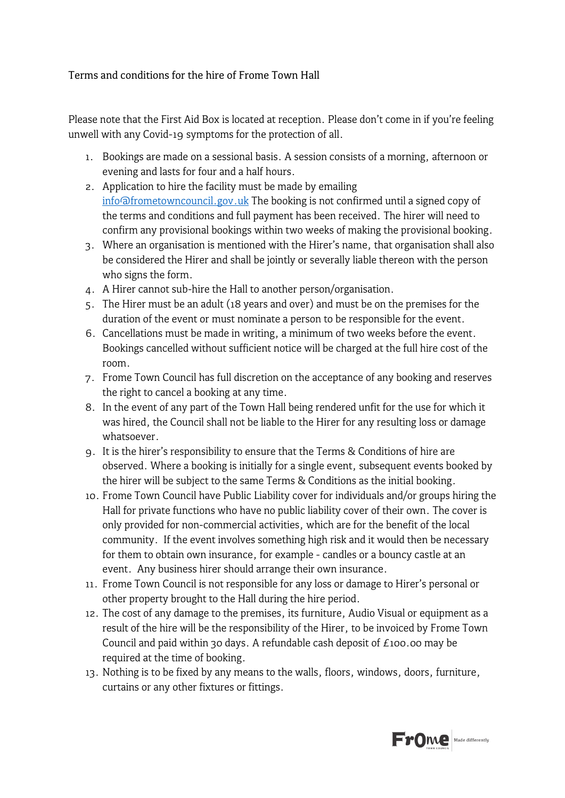## Terms and conditions for the hire of Frome Town Hall

Please note that the First Aid Box is located at reception. Please don't come in if you're feeling unwell with any Covid-19 symptoms for the protection of all.

- 1. Bookings are made on a sessional basis. A session consists of a morning, afternoon or evening and lasts for four and a half hours.
- 2. Application to hire the facility must be made by emailing [info@frometowncouncil.gov.uk](mailto:info@frometowncouncil.gov.uk) The booking is not confirmed until a signed copy of the terms and conditions and full payment has been received. The hirer will need to confirm any provisional bookings within two weeks of making the provisional booking.
- 3. Where an organisation is mentioned with the Hirer's name, that organisation shall also be considered the Hirer and shall be jointly or severally liable thereon with the person who signs the form.
- 4. A Hirer cannot sub-hire the Hall to another person/organisation.
- 5. The Hirer must be an adult (18 years and over) and must be on the premises for the duration of the event or must nominate a person to be responsible for the event.
- 6. Cancellations must be made in writing, a minimum of two weeks before the event. Bookings cancelled without sufficient notice will be charged at the full hire cost of the room.
- 7. Frome Town Council has full discretion on the acceptance of any booking and reserves the right to cancel a booking at any time.
- 8. In the event of any part of the Town Hall being rendered unfit for the use for which it was hired, the Council shall not be liable to the Hirer for any resulting loss or damage whatsoever.
- 9. It is the hirer's responsibility to ensure that the Terms & Conditions of hire are observed. Where a booking is initially for a single event, subsequent events booked by the hirer will be subject to the same Terms & Conditions as the initial booking.
- 10. Frome Town Council have Public Liability cover for individuals and/or groups hiring the Hall for private functions who have no public liability cover of their own. The cover is only provided for non-commercial activities, which are for the benefit of the local community. If the event involves something high risk and it would then be necessary for them to obtain own insurance, for example - candles or a bouncy castle at an event. Any business hirer should arrange their own insurance.
- 11. Frome Town Council is not responsible for any loss or damage to Hirer's personal or other property brought to the Hall during the hire period.
- 12. The cost of any damage to the premises, its furniture, Audio Visual or equipment as a result of the hire will be the responsibility of the Hirer, to be invoiced by Frome Town Council and paid within 30 days. A refundable cash deposit of  $£100.00$  may be required at the time of booking.
- 13. Nothing is to be fixed by any means to the walls, floors, windows, doors, furniture, curtains or any other fixtures or fittings.

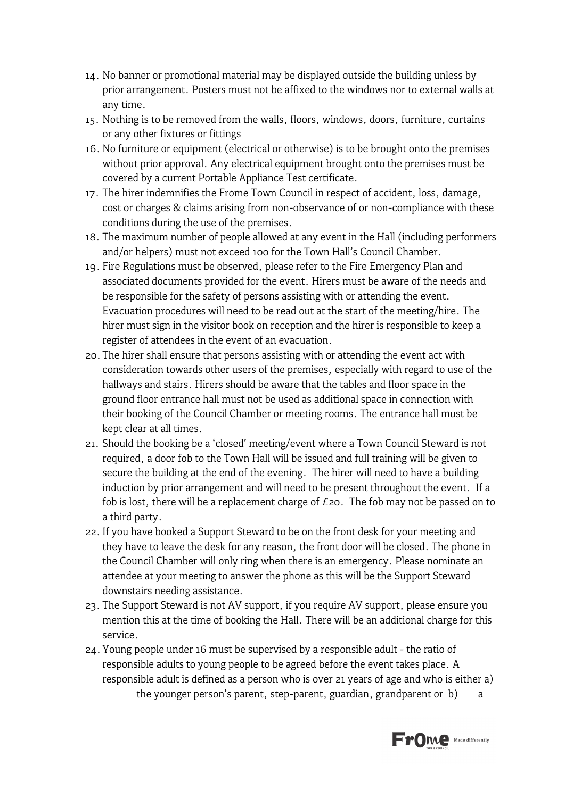- 14. No banner or promotional material may be displayed outside the building unless by prior arrangement. Posters must not be affixed to the windows nor to external walls at any time.
- 15. Nothing is to be removed from the walls, floors, windows, doors, furniture, curtains or any other fixtures or fittings
- 16. No furniture or equipment (electrical or otherwise) is to be brought onto the premises without prior approval. Any electrical equipment brought onto the premises must be covered by a current Portable Appliance Test certificate.
- 17. The hirer indemnifies the Frome Town Council in respect of accident, loss, damage, cost or charges & claims arising from non-observance of or non-compliance with these conditions during the use of the premises.
- 18. The maximum number of people allowed at any event in the Hall (including performers and/or helpers) must not exceed 100 for the Town Hall's Council Chamber.
- 19. Fire Regulations must be observed, please refer to the Fire Emergency Plan and associated documents provided for the event. Hirers must be aware of the needs and be responsible for the safety of persons assisting with or attending the event. Evacuation procedures will need to be read out at the start of the meeting/hire. The hirer must sign in the visitor book on reception and the hirer is responsible to keep a register of attendees in the event of an evacuation.
- 20. The hirer shall ensure that persons assisting with or attending the event act with consideration towards other users of the premises, especially with regard to use of the hallways and stairs. Hirers should be aware that the tables and floor space in the ground floor entrance hall must not be used as additional space in connection with their booking of the Council Chamber or meeting rooms. The entrance hall must be kept clear at all times.
- 21. Should the booking be a 'closed' meeting/event where a Town Council Steward is not required, a door fob to the Town Hall will be issued and full training will be given to secure the building at the end of the evening. The hirer will need to have a building induction by prior arrangement and will need to be present throughout the event. If a fob is lost, there will be a replacement charge of  $E_{20}$ . The fob may not be passed on to a third party.
- 22.If you have booked a Support Steward to be on the front desk for your meeting and they have to leave the desk for any reason, the front door will be closed. The phone in the Council Chamber will only ring when there is an emergency. Please nominate an attendee at your meeting to answer the phone as this will be the Support Steward downstairs needing assistance.
- 23. The Support Steward is not AV support, if you require AV support, please ensure you mention this at the time of booking the Hall. There will be an additional charge for this service.
- 24.Young people under 16 must be supervised by a responsible adult the ratio of responsible adults to young people to be agreed before the event takes place. A responsible adult is defined as a person who is over 21 years of age and who is either a) the younger person's parent, step-parent, guardian, grandparent or b) a

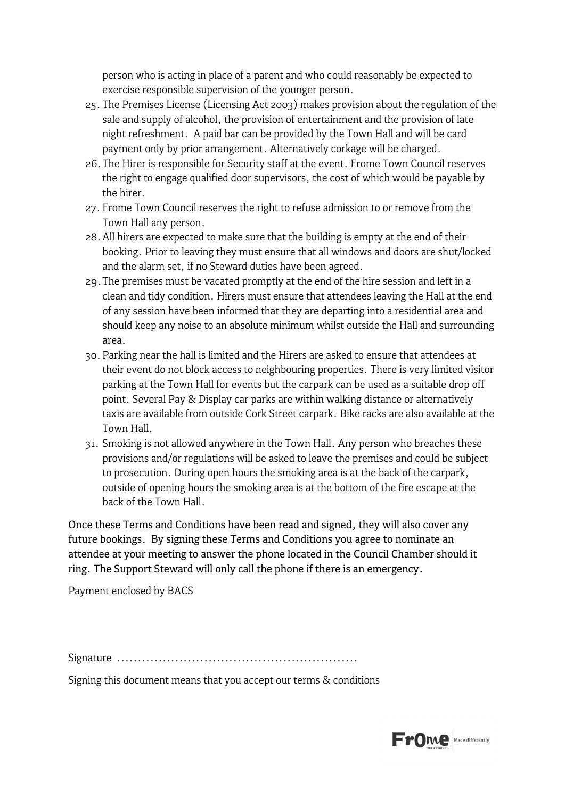person who is acting in place of a parent and who could reasonably be expected to exercise responsible supervision of the younger person.

- 25. The Premises License (Licensing Act 2003) makes provision about the regulation of the sale and supply of alcohol, the provision of entertainment and the provision of late night refreshment. A paid bar can be provided by the Town Hall and will be card payment only by prior arrangement. Alternatively corkage will be charged.
- 26.The Hirer is responsible for Security staff at the event. Frome Town Council reserves the right to engage qualified door supervisors, the cost of which would be payable by the hirer.
- 27. Frome Town Council reserves the right to refuse admission to or remove from the Town Hall any person.
- 28.All hirers are expected to make sure that the building is empty at the end of their booking. Prior to leaving they must ensure that all windows and doors are shut/locked and the alarm set, if no Steward duties have been agreed.
- 29.The premises must be vacated promptly at the end of the hire session and left in a clean and tidy condition. Hirers must ensure that attendees leaving the Hall at the end of any session have been informed that they are departing into a residential area and should keep any noise to an absolute minimum whilst outside the Hall and surrounding area.
- 30.Parking near the hall is limited and the Hirers are asked to ensure that attendees at their event do not block access to neighbouring properties. There is very limited visitor parking at the Town Hall for events but the carpark can be used as a suitable drop off point. Several Pay & Display car parks are within walking distance or alternatively taxis are available from outside Cork Street carpark. Bike racks are also available at the Town Hall.
- 31. Smoking is not allowed anywhere in the Town Hall. Any person who breaches these provisions and/or regulations will be asked to leave the premises and could be subject to prosecution. During open hours the smoking area is at the back of the carpark, outside of opening hours the smoking area is at the bottom of the fire escape at the back of the Town Hall.

Once these Terms and Conditions have been read and signed, they will also cover any future bookings. By signing these Terms and Conditions you agree to nominate an attendee at your meeting to answer the phone located in the Council Chamber should it ring. The Support Steward will only call the phone if there is an emergency.

Payment enclosed by BACS

Signature ..........................................................

Signing this document means that you accept our terms & conditions